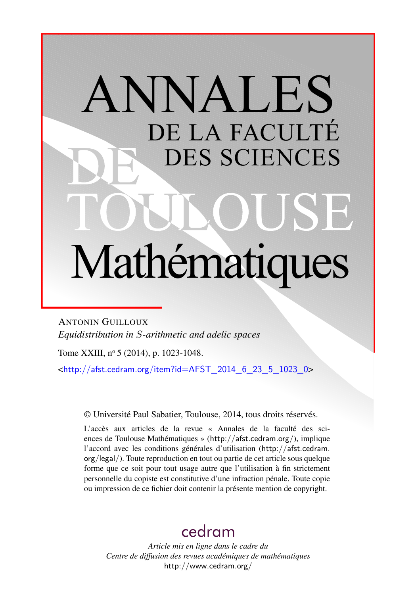# ANNALES DE LA FACULTÉ DES SCIENCES Mathématiques

ANTONIN GUILLOUX *Equidistribution in S-arithmetic and adelic spaces*

Tome XXIII, nº 5 (2014), p. 1023-1048.

 $\text{chttp:}/\text{/afst.cedram.org/item?id=AFST}$  2014 6 23 5 1023 0>

© Université Paul Sabatier, Toulouse, 2014, tous droits réservés.

L'accès aux articles de la revue « Annales de la faculté des sciences de Toulouse Mathématiques » (<http://afst.cedram.org/>), implique l'accord avec les conditions générales d'utilisation ([http://afst.cedram.](http://afst.cedram.org/legal/) [org/legal/](http://afst.cedram.org/legal/)). Toute reproduction en tout ou partie de cet article sous quelque forme que ce soit pour tout usage autre que l'utilisation à fin strictement personnelle du copiste est constitutive d'une infraction pénale. Toute copie ou impression de ce fichier doit contenir la présente mention de copyright.

# [cedram](http://www.cedram.org/)

*Article mis en ligne dans le cadre du Centre de diffusion des revues académiques de mathématiques* <http://www.cedram.org/>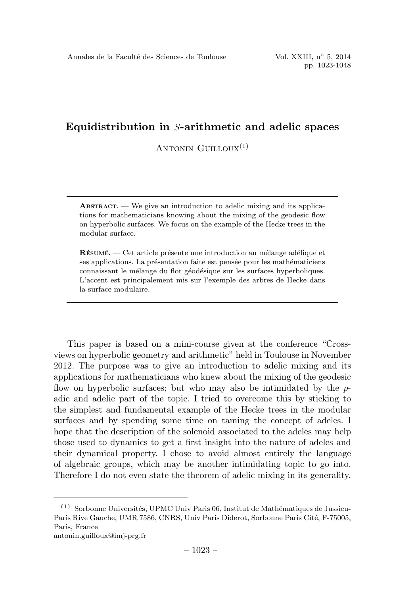ANTONIN  $G$ UILLOUX $^{(1)}$ 

**ABSTRACT.** — We give an introduction to adelic mixing and its applications for mathematicians knowing about the mixing of the geodesic flow on hyperbolic surfaces. We focus on the example of the Hecke trees in the modular surface.

 $\hat{\textbf{R}}$ ÉSUMÉ. — Cet article présente une introduction au mélange adélique et ses applications. La présentation faite est pensée pour les mathématiciens connaissant le mélange du flot géodésique sur les surfaces hyperboliques. L'accent est principalement mis sur l'exemple des arbres de Hecke dans la surface modulaire.

This paper is based on a mini-course given at the conference "Crossviews on hyperbolic geometry and arithmetic" held in Toulouse in November 2012.The purpose was to give an introduction to adelic mixing and its applications for mathematicians who knew about the mixing of the geodesic flow on hyperbolic surfaces; but who may also be intimidated by the padic and adelic part of the topic.I tried to overcome this by sticking to the simplest and fundamental example of the Hecke trees in the modular surfaces and by spending some time on taming the concept of adeles. I hope that the description of the solenoid associated to the adeles may help those used to dynamics to get a first insight into the nature of adeles and their dynamical property.I chose to avoid almost entirely the language of algebraic groups, which may be another intimidating topic to go into. Therefore I do not even state the theorem of adelic mixing in its generality.

 $(1)$  Sorbonne Universités, UPMC Univ Paris 06, Institut de Mathématiques de Jussieu-Paris Rive Gauche, UMR 7586, CNRS, Univ Paris Diderot, Sorbonne Paris Cité, F-75005, Paris, France antonin.guilloux@imj-prg.fr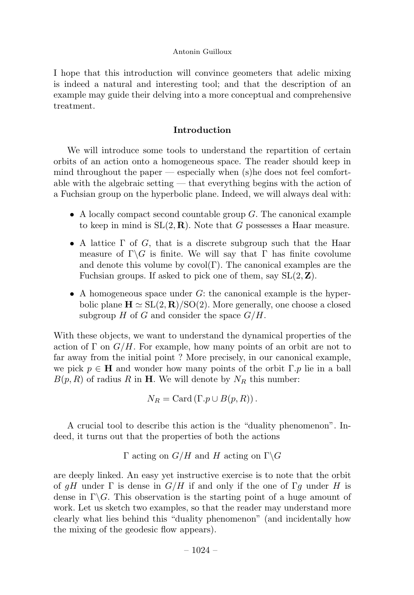I hope that this introduction will convince geometers that adelic mixing is indeed a natural and interesting tool; and that the description of an example may guide their delving into a more conceptual and comprehensive treatment.

# Introduction

We will introduce some tools to understand the repartition of certain orbits of an action onto a homogeneous space.The reader should keep in mind throughout the paper — especially when (s)he does not feel comfortable with the algebraic setting — that everything begins with the action of a Fuchsian group on the hyperbolic plane.Indeed, we will always deal with:

- A locally compact second countable group  $G$ . The canonical example to keep in mind is  $SL(2, \mathbf{R})$ . Note that G possesses a Haar measure.
- A lattice  $\Gamma$  of G, that is a discrete subgroup such that the Haar measure of  $\Gamma \backslash G$  is finite. We will say that  $\Gamma$  has finite covolume and denote this volume by  $\text{covol}(\Gamma)$ . The canonical examples are the Fuchsian groups. If asked to pick one of them, say  $SL(2, \mathbb{Z})$ .
- A homogeneous space under  $G$ : the canonical example is the hyperbolic plane  $\mathbf{H} \simeq SL(2, \mathbf{R})/SO(2)$ . More generally, one choose a closed subgroup  $H$  of  $G$  and consider the space  $G/H$ .

With these objects, we want to understand the dynamical properties of the action of  $\Gamma$  on  $G/H$ . For example, how many points of an orbit are not to far away from the initial point ? More precisely, in our canonical example, we pick  $p \in H$  and wonder how many points of the orbit  $\Gamma.p$  lie in a ball  $B(p, R)$  of radius R in H. We will denote by  $N_R$  this number:

$$
N_R = \operatorname{Card} \left( \Gamma. p \cup B(p,R) \right).
$$

A crucial tool to describe this action is the "duality phenomenon".Indeed, it turns out that the properties of both the actions

Γ acting on  $G/H$  and H acting on  $\Gamma \backslash G$ 

are deeply linked.An easy yet instructive exercise is to note that the orbit of gH under  $\Gamma$  is dense in  $G/H$  if and only if the one of  $\Gamma g$  under H is dense in  $\Gamma \backslash G$ . This observation is the starting point of a huge amount of work.Let us sketch two examples, so that the reader may understand more clearly what lies behind this "duality phenomenon" (and incidentally how the mixing of the geodesic flow appears).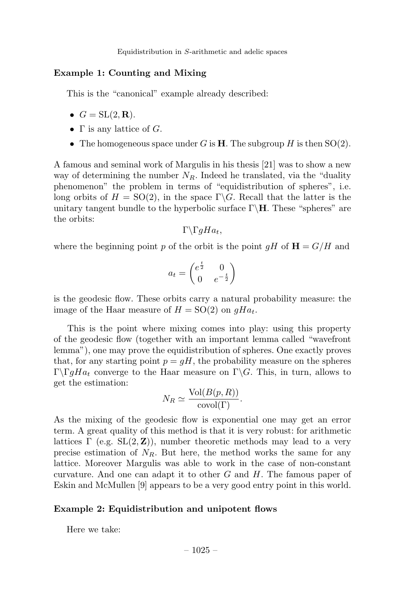# Example 1: Counting and Mixing

This is the "canonical" example already described:

- $G = SL(2, \mathbf{R}).$
- $\Gamma$  is any lattice of G.
- The homogeneous space under G is **H**. The subgroup H is then  $SO(2)$ .

A famous and seminal work of Margulis in his thesis [21] was to show a new way of determining the number  $N_R$ . Indeed he translated, via the "duality" phenomenon" the problem in terms of "equidistribution of spheres", i.e. long orbits of  $H = SO(2)$ , in the space  $\Gamma \backslash G$ . Recall that the latter is the unitary tangent bundle to the hyperbolic surface  $\Gamma\$ **H**. These "spheres" are the orbits:

 $Γ\Gamma$ *qHa<sub>t</sub>*,

where the beginning point p of the orbit is the point  $qH$  of  $H = G/H$  and

$$
a_t = \begin{pmatrix} e^{\frac{t}{2}} & 0\\ 0 & e^{-\frac{t}{2}} \end{pmatrix}
$$

is the geodesic flow.These orbits carry a natural probability measure: the image of the Haar measure of  $H = SO(2)$  on  $qHa_t$ .

This is the point where mixing comes into play: using this property of the geodesic flow (together with an important lemma called "wavefront lemma"), one may prove the equidistribution of spheres. One exactly proves that, for any starting point  $p = gH$ , the probability measure on the spheres Γ $\Gamma \Gamma_q H a_t$  converge to the Haar measure on Γ $\Gamma$ . This, in turn, allows to get the estimation:

$$
N_R \simeq \frac{\text{Vol}(B(p, R))}{\text{covol}(\Gamma)}.
$$

As the mixing of the geodesic flow is exponential one may get an error term.A great quality of this method is that it is very robust: for arithmetic lattices  $\Gamma$  (e.g.  $SL(2, \mathbb{Z})$ ), number theoretic methods may lead to a very precise estimation of  $N_R$ . But here, the method works the same for any lattice.Moreover Margulis was able to work in the case of non-constant curvature. And one can adapt it to other  $G$  and  $H$ . The famous paper of Eskin and McMullen [9] appears to be a very good entry point in this world.

#### Example 2: Equidistribution and unipotent flows

Here we take: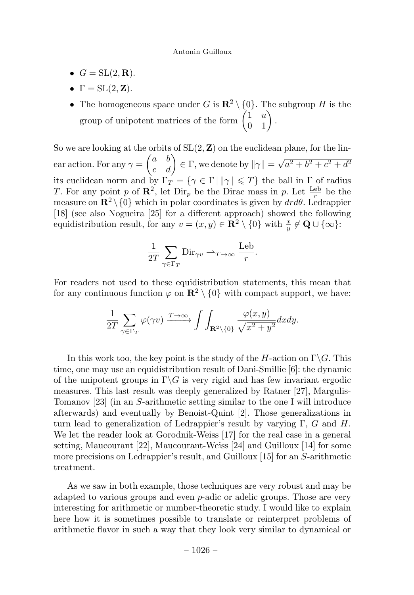- $G = SL(2, \mathbf{R}).$
- $\Gamma = SL(2, \mathbf{Z}).$
- The homogeneous space under G is  $\mathbb{R}^2 \setminus \{0\}$ . The subgroup H is the group of unipotent matrices of the form  $\begin{pmatrix} 1 & u \\ 0 & 1 \end{pmatrix}$ .

So we are looking at the orbits of  $SL(2, \mathbb{Z})$  on the euclidean plane, for the linear action. For any  $\gamma =$  $\begin{pmatrix} a & b \\ c & d \end{pmatrix} \in \Gamma$ , we denote by  $\|\gamma\| = \sqrt{a^2 + b^2 + c^2 + d^2}$ its euclidean norm and by  $\Gamma_T = \{ \gamma \in \Gamma \mid ||\gamma|| \leq T \}$  the ball in  $\Gamma$  of radius T. For any point p of  $\mathbb{R}^2$ , let  $\text{Dir}_p$  be the Dirac mass in p. Let  $\frac{\text{Leb}}{r}$  be the measure on  $\mathbb{R}^2 \setminus \{0\}$  which in polar coordinates is given by  $dr d\theta$ . Ledrappier [18] (see also Nogueira [25] for a different approach) showed the following equidistribution result, for any  $v = (x, y) \in \mathbb{R}^2 \setminus \{0\}$  with  $\frac{x}{y} \notin \mathbb{Q} \cup \{\infty\}$ :

$$
\frac{1}{2T} \sum_{\gamma \in \Gamma_T} \text{Dir}_{\gamma v} \rightharpoonup_{T \to \infty} \frac{\text{Leb}}{r}.
$$

For readers not used to these equidistribution statements, this mean that for any continuous function  $\varphi$  on  $\mathbb{R}^2 \setminus \{0\}$  with compact support, we have:

$$
\frac{1}{2T}\sum_{\gamma\in\Gamma_T}\varphi(\gamma v)\xrightarrow{T\to\infty}\int\int_{\mathbf{R}^2\backslash\{0\}}\frac{\varphi(x,y)}{\sqrt{x^2+y^2}}dxdy.
$$

In this work too, the key point is the study of the H-action on  $\Gamma \backslash G$ . This time, one may use an equidistribution result of Dani-Smillie [6]: the dynamic of the unipotent groups in  $\Gamma \backslash G$  is very rigid and has few invariant ergodic measures.This last result was deeply generalized by Ratner [27], Margulis-Tomanov [23] (in an S-arithmetic setting similar to the one I will introduce afterwards) and eventually by Benoist-Quint [2].Those generalizations in turn lead to generalization of Ledrappier's result by varying  $\Gamma$ , G and H. We let the reader look at Gorodnik-Weiss [17] for the real case in a general setting, Maucourant [22], Maucourant-Weiss [24] and Guilloux [14] for some more precisions on Ledrappier's result, and Guilloux [15] for an S-arithmetic treatment.

As we saw in both example, those techniques are very robust and may be adapted to various groups and even  $p$ -adic or adelic groups. Those are very interesting for arithmetic or number-theoretic study.I would like to explain here how it is sometimes possible to translate or reinterpret problems of arithmetic flavor in such a way that they look very similar to dynamical or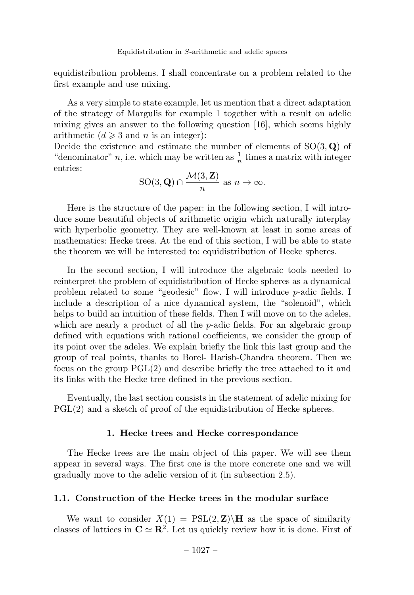equidistribution problems.I shall concentrate on a problem related to the first example and use mixing.

As a very simple to state example, let us mention that a direct adaptation of the strategy of Margulis for example 1 together with a result on adelic mixing gives an answer to the following question [16], which seems highly arithmetic  $(d \geq 3$  and n is an integer):

Decide the existence and estimate the number of elements of  $SO(3, \mathbf{Q})$  of "denominator" *n*, i.e. which may be written as  $\frac{1}{n}$  times a matrix with integer entries:

$$
SO(3, \mathbf{Q}) \cap \frac{\mathcal{M}(3, \mathbf{Z})}{n} \text{ as } n \to \infty.
$$

Here is the structure of the paper: in the following section, I will introduce some beautiful objects of arithmetic origin which naturally interplay with hyperbolic geometry. They are well-known at least in some areas of mathematics: Hecke trees.At the end of this section, I will be able to state the theorem we will be interested to: equidistribution of Hecke spheres.

In the second section, I will introduce the algebraic tools needed to reinterpret the problem of equidistribution of Hecke spheres as a dynamical problem related to some "geodesic" flow.I will introduce p-adic fields.I include a description of a nice dynamical system, the "solenoid", which helps to build an intuition of these fields. Then I will move on to the adeles, which are nearly a product of all the  $p$ -adic fields. For an algebraic group defined with equations with rational coefficients, we consider the group of its point over the adeles.We explain briefly the link this last group and the group of real points, thanks to Borel- Harish-Chandra theorem.Then we focus on the group PGL(2) and describe briefly the tree attached to it and its links with the Hecke tree defined in the previous section.

Eventually, the last section consists in the statement of adelic mixing for PGL(2) and a sketch of proof of the equidistribution of Hecke spheres.

#### 1. Hecke trees and Hecke correspondance

The Hecke trees are the main object of this paper.We will see them appear in several ways.The first one is the more concrete one and we will gradually move to the adelic version of it (in subsection 2.5).

# 1.1. Construction of the Hecke trees in the modular surface

We want to consider  $X(1) = \text{PSL}(2, \mathbf{Z})\backslash\mathbf{H}$  as the space of similarity classes of lattices in  $\mathbf{C} \simeq \mathbf{R}^2$ . Let us quickly review how it is done. First of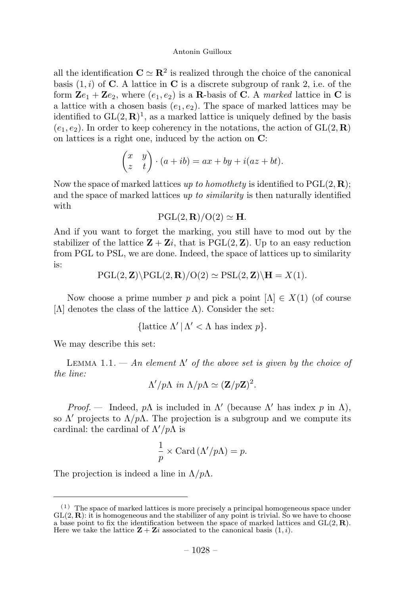all the identification  $\mathbf{C} \simeq \mathbf{R}^2$  is realized through the choice of the canonical basis  $(1, i)$  of **C**. A lattice in **C** is a discrete subgroup of rank 2, i.e. of the form  $\mathbf{Z}e_1 + \mathbf{Z}e_2$ , where  $(e_1, e_2)$  is a **R**-basis of **C**. A marked lattice in **C** is a lattice with a chosen basis  $(e_1, e_2)$ . The space of marked lattices may be identified to  $GL(2,\mathbf{R})^1$ , as a marked lattice is uniquely defined by the basis  $(e_1, e_2)$ . In order to keep coherency in the notations, the action of  $GL(2, \mathbf{R})$ on lattices is a right one, induced by the action on C:

$$
\begin{pmatrix} x & y \ z & t \end{pmatrix} \cdot (a+ib) = ax + by + i(az + bt).
$$

Now the space of marked lattices up to homothety is identified to  $PGL(2, \mathbf{R})$ ; and the space of marked lattices up to similarity is then naturally identified with

$$
\mathrm{PGL}(2,\mathbf{R})/\mathrm{O}(2)\simeq \mathbf{H}.
$$

And if you want to forget the marking, you still have to mod out by the stabilizer of the lattice  $\mathbf{Z} + \mathbf{Z}i$ , that is PGL(2,  $\mathbf{Z}$ ). Up to an easy reduction from PGL to PSL, we are done. Indeed, the space of lattices up to similarity is:

$$
PGL(2, \mathbf{Z})\backslash PGL(2, \mathbf{R})/O(2) \simeq PSL(2, \mathbf{Z})\backslash \mathbf{H} = X(1).
$$

Now choose a prime number p and pick a point  $[\Lambda] \in X(1)$  (of course [ $Λ$ ] denotes the class of the lattice  $Λ$ ). Consider the set:

{lattice 
$$
\Lambda' | \Lambda' < \Lambda
$$
 has index  $p$  }.

We may describe this set:

LEMMA 1.1. — An element  $\Lambda'$  of the above set is given by the choice of the line:

$$
\Lambda'/p\Lambda \, \text{ in } \Lambda/p\Lambda \simeq (\mathbf{Z}/p\mathbf{Z})^2.
$$

Proof. — Indeed,  $p\Lambda$  is included in  $\Lambda'$  (because  $\Lambda'$  has index p in  $\Lambda$ ), so  $\Lambda'$  projects to  $\Lambda/p\Lambda$ . The projection is a subgroup and we compute its cardinal: the cardinal of  $\Lambda'/p\Lambda$  is

$$
\frac{1}{p} \times \text{Card} (\Lambda'/p\Lambda) = p.
$$

The projection is indeed a line in  $\Lambda/p\Lambda$ .

 $(1)$  The space of marked lattices is more precisely a principal homogeneous space under  $GL(2, \mathbf{R})$ : it is homogeneous and the stabilizer of any point is trivial. So we have to choose a base point to fix the identification between the space of marked lattices and  $GL(2,\mathbf{R})$ . Here we take the lattice  $\mathbf{Z} + \mathbf{Z}i$  associated to the canonical basis  $(1, i)$ .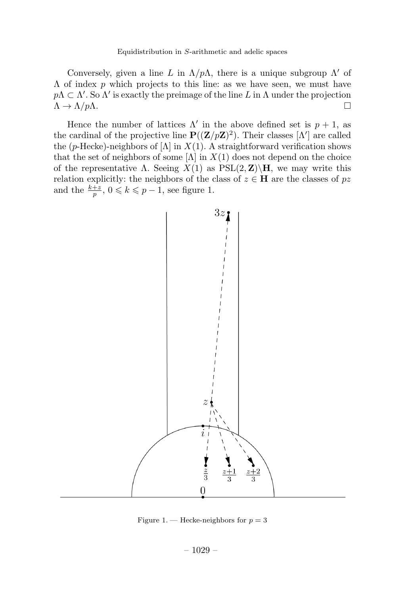Conversely, given a line L in  $\Lambda/p\Lambda$ , there is a unique subgroup  $\Lambda'$  of  $\Lambda$  of index p which projects to this line: as we have seen, we must have  $p\Lambda \subset \Lambda'$ . So  $\Lambda'$  is exactly the preimage of the line L in  $\Lambda$  under the projection  $\Lambda \to \Lambda/p\Lambda$ .

Hence the number of lattices  $\Lambda'$  in the above defined set is  $p + 1$ , as the cardinal of the projective line  $\mathbf{P}((\mathbf{Z}/p\mathbf{Z})^2)$ . Their classes  $[\Lambda']$  are called the (p-Hecke)-neighbors of [ $\Lambda$ ] in  $X(1)$ . A straightforward verification shows that the set of neighbors of some  $[\Lambda]$  in  $X(1)$  does not depend on the choice of the representative Λ. Seeing  $X(1)$  as  $PSL(2, Z)\$ H, we may write this relation explicitly: the neighbors of the class of  $z \in H$  are the classes of pz and the  $\frac{k+z}{p}$ ,  $0 \leq k \leq p-1$ , see figure 1.



Figure 1. — Hecke-neighbors for  $p = 3$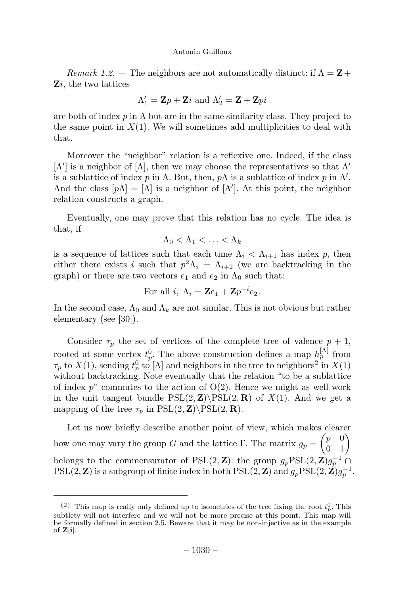Remark 1.2. — The neighbors are not automatically distinct: if  $\Lambda = \mathbf{Z} +$ Zi, the two lattices

$$
\Lambda_1' = \mathbf{Z}p + \mathbf{Z}i \text{ and } \Lambda_2' = \mathbf{Z} + \mathbf{Z}pi
$$

are both of index p in  $\Lambda$  but are in the same similarity class. They project to the same point in  $X(1)$ . We will sometimes add multiplicities to deal with that.

Moreover the "neighbor" relation is a reflexive one.Indeed, if the class  $[\Lambda']$  is a neighbor of  $[\Lambda]$ , then we may choose the representatives so that  $\Lambda'$ is a sublattice of index p in  $\Lambda$ . But, then, p $\Lambda$  is a sublattice of index p in  $\Lambda'$ . And the class  $[p\Lambda] = [\Lambda]$  is a neighbor of  $[\Lambda']$ . At this point, the neighbor relation constructs a graph.

Eventually, one may prove that this relation has no cycle.The idea is that, if

 $\Lambda_0 < \Lambda_1 < \ldots < \Lambda_k$ 

is a sequence of lattices such that each time  $\Lambda_i < \Lambda_{i+1}$  has index p, then either there exists i such that  $p^2\Lambda_i = \Lambda_{i+2}$  (we are backtracking in the graph) or there are two vectors  $e_1$  and  $e_2$  in  $\Lambda_0$  such that:

For all 
$$
i
$$
,  $\Lambda_i = \mathbf{Z}e_1 + \mathbf{Z}p^{-i}e_2$ .

In the second case,  $\Lambda_0$  and  $\Lambda_k$  are not similar. This is not obvious but rather elementary (see [30]).

Consider  $\tau_p$  the set of vertices of the complete tree of valence  $p + 1$ , rooted at some vertex  $t_p^0$ . The above construction defines a map  $h_p^{[\Lambda]}$  from  $\tau_p$  to  $X(1)$ , sending  $t_p^0$  to  $[\Lambda]$  and neighbors in the tree to neighbors<sup>2</sup> in  $X(1)$ without backtracking. Note eventually that the relation "to be a sublattice of index  $p^{\prime\prime}$  commutes to the action of  $O(2)$ . Hence we might as well work in the unit tangent bundle  $PSL(2, Z)\PSL(2, R)$  of  $X(1)$ . And we get a mapping of the tree  $\tau_p$  in PSL(2, **Z**)\PSL(2, **R**).

Let us now briefly describe another point of view, which makes clearer how one may vary the group G and the lattice Γ. The matrix  $g_p =$  $\begin{pmatrix} p & 0 \\ 0 & 1 \end{pmatrix}$ belongs to the commensurator of PSL(2, **Z**): the group  $g_p$ PSL(2, **Z**) $g_p^{-1}$  ∩  $PSL(2, \mathbf{Z})$  is a subgroup of finite index in both  $PSL(2, \mathbf{Z})$  and  $g_pPSL(2, \mathbf{Z})g_p^{-1}$ .

<sup>&</sup>lt;sup>(2)</sup> This map is really only defined up to isometries of the tree fixing the root  $t_p^0$ . This subtlety will not interfere and we will not be more precise at this point. This map will be formally defined in section 2.5. Beware that it may be non-injective as in the example of  $\mathbf{Z}[\mathbf{i}]$ .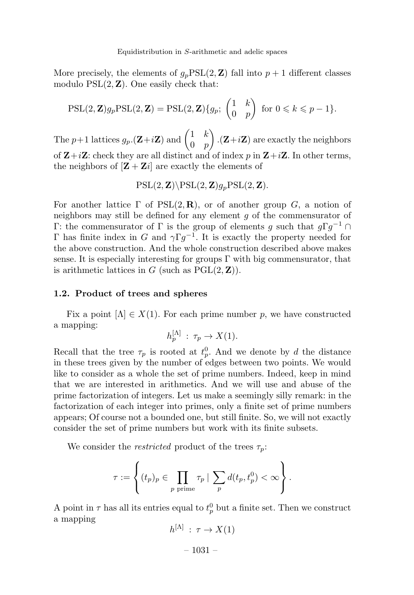More precisely, the elements of  $g_pPSL(2, \mathbf{Z})$  fall into  $p+1$  different classes modulo  $PSL(2, Z)$ . One easily check that:

$$
\mathrm{PSL}(2,\mathbf{Z})g_p\mathrm{PSL}(2,\mathbf{Z})=\mathrm{PSL}(2,\mathbf{Z})\{g_p;\begin{pmatrix}1&k\\0&p\end{pmatrix}\text{ for }0\leqslant k\leqslant p-1\}.
$$

The p+1 lattices  $g_p$  (**Z**+*i***Z**) and  $\begin{pmatrix} 1 & k \\ 0 & n \end{pmatrix}$  $0 \quad p$  $\overline{\phantom{0}}$  $\mathbf{Z} + i\mathbf{Z}$  are exactly the neighbors of  $\mathbf{Z}+i\mathbf{Z}$ : check they are all distinct and of index p in  $\mathbf{Z}+i\mathbf{Z}$ . In other terms, the neighbors of  $[\mathbf{Z} + \mathbf{Z}i]$  are exactly the elements of

$$
PSL(2, \mathbf{Z}) \backslash PSL(2, \mathbf{Z}) g_p PSL(2, \mathbf{Z}).
$$

For another lattice  $\Gamma$  of  $PSL(2, \mathbf{R})$ , or of another group G, a notion of neighbors may still be defined for any element g of the commensurator of Γ: the commensurator of Γ is the group of elements g such that  $g\Gamma g^{-1}$  ∩ Γ has finite index in G and  $\gamma \Gamma g^{-1}$ . It is exactly the property needed for the above construction.And the whole construction described above makes sense. It is especially interesting for groups  $\Gamma$  with big commensurator, that is arithmetic lattices in G (such as  $PGL(2, Z)$ ).

#### 1.2. Product of trees and spheres

Fix a point  $[\Lambda] \in X(1)$ . For each prime number p, we have constructed a mapping:

$$
h_p^{[\Lambda]} : \tau_p \to X(1).
$$

Recall that the tree  $\tau_p$  is rooted at  $t_p^0$ . And we denote by d the distance in these trees given by the number of edges between two points.We would like to consider as a whole the set of prime numbers.Indeed, keep in mind that we are interested in arithmetics.And we will use and abuse of the prime factorization of integers.Let us make a seemingly silly remark: in the factorization of each integer into primes, only a finite set of prime numbers appears; Of course not a bounded one, but still finite.So, we will not exactly consider the set of prime numbers but work with its finite subsets.

We consider the *restricted* product of the trees  $\tau_p$ :

$$
\tau := \left\{ (t_p)_p \in \prod_{p \text{ prime}} \tau_p \mid \sum_p d(t_p, t_p^0) < \infty \right\}.
$$

A point in  $\tau$  has all its entries equal to  $t_p^0$  but a finite set. Then we construct a mapping

$$
h^{[\Lambda]} : \tau \to X(1)
$$

 $-1031-$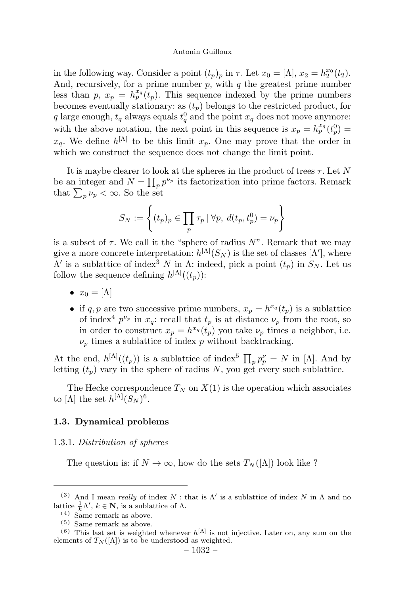in the following way. Consider a point  $(t_p)_p$  in  $\tau$ . Let  $x_0 = [\Lambda], x_2 = h_2^{x_0}(t_2)$ . And, recursively, for a prime number  $p$ , with  $q$  the greatest prime number less than p,  $x_p = h_p^{x_q}(t_p)$ . This sequence indexed by the prime numbers becomes eventually stationary: as  $(t_p)$  belongs to the restricted product, for q large enough,  $t_q$  always equals  $t_q^0$  and the point  $x_q$  does not move anymore: with the above notation, the next point in this sequence is  $x_p = h_p^{x_q}(t_p^0)$  $x_q$ . We define  $h^{[\Lambda]}$  to be this limit  $x_p$ . One may prove that the order in which we construct the sequence does not change the limit point.

It is maybe clearer to look at the spheres in the product of trees  $\tau$ . Let N be an integer and  $N = \prod_p p^{\nu_p}$  its factorization into prime factors. Remark that  $\sum_{p} \nu_p < \infty$ . So the set

$$
S_N := \left\{ (t_p)_p \in \prod_p \tau_p \mid \forall p, \ d(t_p, t_p^0) = \nu_p \right\}
$$

is a subset of  $\tau$ . We call it the "sphere of radius  $N$ ". Remark that we may give a more concrete interpretation:  $h^{[\Lambda]}(S_N)$  is the set of classes  $[\Lambda']$ , where  $Λ'$  is a sublattice of index<sup>3</sup> N in Λ: indeed, pick a point  $(t_n)$  in  $S_N$ . Let us follow the sequence defining  $h^{[\Lambda]}((t_p))$ :

- $x_0 = [\Lambda]$
- if q, p are two successive prime numbers,  $x_p = h^{x_q}(t_p)$  is a sublattice of index<sup>4</sup>  $p^{\nu_p}$  in  $x_q$ : recall that  $t_p$  is at distance  $\nu_p$  from the root, so in order to construct  $x_p = h^{x_q}(t_p)$  you take  $\nu_p$  times a neighbor, i.e.  $\nu_n$  times a sublattice of index p without backtracking.

At the end,  $h^{[\Lambda]}((t_p))$  is a sublattice of index<sup>5</sup>  $\prod_p p_p^{\nu} = N$  in [A]. And by letting  $(t_p)$  vary in the sphere of radius N, you get every such sublattice.

The Hecke correspondence  $T_N$  on  $X(1)$  is the operation which associates to [ $\Lambda$ ] the set  $h^{[\Lambda]}(S_N)^6$ .

#### 1.3. Dynamical problems

#### 1.3.1. Distribution of spheres

The question is: if  $N \to \infty$ , how do the sets  $T_N([\Lambda])$  look like ?

<sup>&</sup>lt;sup>(3)</sup> And I mean *really* of index  $N$ : that is  $\Lambda'$  is a sublattice of index  $N$  in  $\Lambda$  and no lattice  $\frac{1}{k}\Lambda'$ ,  $k \in \mathbb{N}$ , is a sublattice of  $\Lambda$ .

<sup>(4)</sup> Same remark as above.

<sup>(5)</sup> Same remark as above.

<sup>&</sup>lt;sup>(6)</sup> This last set is weighted whenever  $h^{[<)}$  is not injective. Later on, any sum on the elements of  $T_N([\Lambda])$  is to be understood as weighted.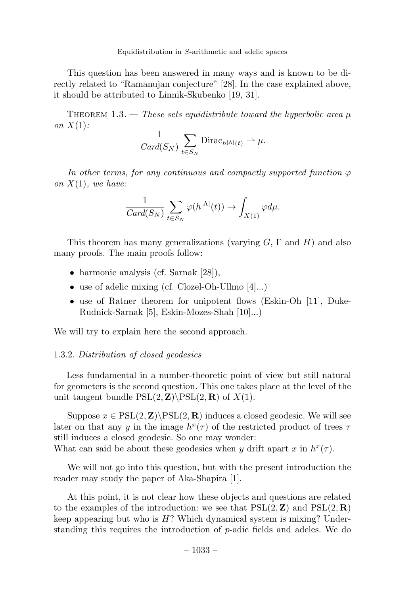This question has been answered in many ways and is known to be directly related to "Ramanujan conjecture" [28]. In the case explained above, it should be attributed to Linnik-Skubenko [19, 31].

THEOREM 1.3. — These sets equidistribute toward the hyperbolic area  $\mu$ on  $X(1)$ :

$$
\frac{1}{Card(S_N)}\sum_{t\in S_N}\text{Dirac}_{h^{[\Lambda]}(t)}\rightharpoonup\mu.
$$

In other terms, for any continuous and compactly supported function  $\varphi$ on  $X(1)$ , we have:

$$
\frac{1}{Card(S_N)}\sum_{t\in S_N}\varphi(h^{[\Lambda]}(t))\to \int_{X(1)}\varphi d\mu.
$$

This theorem has many generalizations (varying  $G$ ,  $\Gamma$  and  $H$ ) and also many proofs. The main proofs follow:

- harmonic analysis (cf. Sarnak  $[28]$ ),
- use of adelic mixing (cf. Clozel-Oh-Ullmo [4]...)
- use of Ratner theorem for unipotent flows (Eskin-Oh [11], Duke-Rudnick-Sarnak [5], Eskin-Mozes-Shah [10]...)

We will try to explain here the second approach.

# 1.3.2. Distribution of closed geodesics

Less fundamental in a number-theoretic point of view but still natural for geometers is the second question.This one takes place at the level of the unit tangent bundle  $PSL(2, \mathbf{Z})\PSL(2, \mathbf{R})$  of  $X(1)$ .

Suppose  $x \in \text{PSL}(2, \mathbf{Z}) \backslash \text{PSL}(2, \mathbf{R})$  induces a closed geodesic. We will see later on that any y in the image  $h^x(\tau)$  of the restricted product of trees  $\tau$ still induces a closed geodesic. So one may wonder: What can said be about these geodesics when y drift apart x in  $h^x(\tau)$ .

We will not go into this question, but with the present introduction the reader may study the paper of Aka-Shapira [1].

At this point, it is not clear how these objects and questions are related to the examples of the introduction: we see that  $PSL(2, Z)$  and  $PSL(2, R)$ keep appearing but who is  $H$ ? Which dynamical system is mixing? Understanding this requires the introduction of  $p$ -adic fields and adeles. We do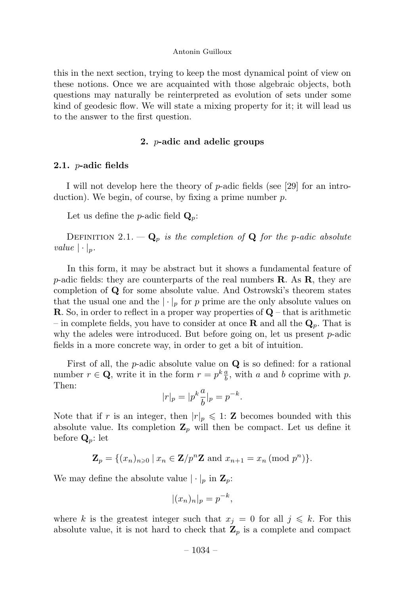this in the next section, trying to keep the most dynamical point of view on these notions. Once we are acquainted with those algebraic objects, both questions may naturally be reinterpreted as evolution of sets under some kind of geodesic flow.We will state a mixing property for it; it will lead us to the answer to the first question.

#### 2. p-adic and adelic groups

#### 2.1.  $p$ -adic fields

I will not develop here the theory of p-adic fields (see [29] for an introduction). We begin, of course, by fixing a prime number  $p$ .

Let us define the *p*-adic field  $\mathbf{Q}_p$ :

DEFINITION 2.1.  $-\mathbf{Q}_p$  is the completion of **Q** for the p-adic absolute value  $|\cdot|_p$ .

In this form, it may be abstract but it shows a fundamental feature of p-adic fields: they are counterparts of the real numbers  $\bf R$ . As  $\bf R$ , they are completion of Q for some absolute value.And Ostrowski's theorem states that the usual one and the  $|\cdot|_p$  for p prime are the only absolute values on **R**. So, in order to reflect in a proper way properties of  $Q$  – that is arithmetic – in complete fields, you have to consider at once **R** and all the  $\mathbf{Q}_p$ . That is why the adeles were introduced. But before going on, let us present  $p$ -adic fields in a more concrete way, in order to get a bit of intuition.

First of all, the  $p$ -adic absolute value on  $Q$  is so defined: for a rational number  $r \in \mathbf{Q}$ , write it in the form  $r = p^k \frac{a}{b}$ , with a and b coprime with p. Then:

$$
|r|_p = |p^k \frac{a}{b}|_p = p^{-k}.
$$

Note that if r is an integer, then  $|r|_p \leq 1$ : **Z** becomes bounded with this absolute value. Its completion  $\mathbf{Z}_p$  will then be compact. Let us define it before  $\mathbf{Q}_p$ : let

$$
\mathbf{Z}_p = \{(x_n)_{n \geq 0} \mid x_n \in \mathbf{Z}/p^n \mathbf{Z} \text{ and } x_{n+1} = x_n \text{ (mod } p^n)\}.
$$

We may define the absolute value  $|\cdot|_p$  in  $\mathbf{Z}_p$ :

$$
|(x_n)_n|_p = p^{-k},
$$

where k is the greatest integer such that  $x_j = 0$  for all  $j \leq k$ . For this absolute value, it is not hard to check that  $\mathbf{Z}_p$  is a complete and compact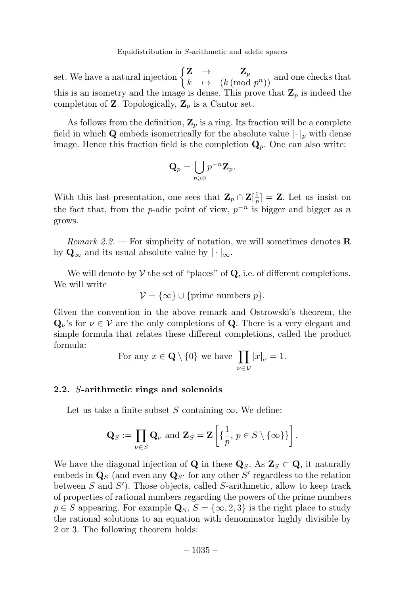set. We have a natural injection  $\begin{cases} \mathbf{Z} & \to & \mathbf{Z}_p \\ k & \mapsto & (k \pmod{p^n}) \end{cases}$  and one checks that this is an isometry and the image is dense. This prove that  $\mathbb{Z}_p$  is indeed the completion of **Z**. Topologically,  $\mathbf{Z}_p$  is a Cantor set.

As follows from the definition,  $\mathbf{Z}_p$  is a ring. Its fraction will be a complete field in which Q embeds isometrically for the absolute value  $|\cdot|_p$  with dense image. Hence this fraction field is the completion  $\mathbf{Q}_p$ . One can also write:

$$
\mathbf{Q}_p = \bigcup_{n \geqslant 0} p^{-n} \mathbf{Z}_p.
$$

With this last presentation, one sees that  $\mathbf{Z}_p \cap \mathbf{Z}[\frac{1}{p}] = \mathbf{Z}$ . Let us insist on the fact that, from the p-adic point of view,  $p^{-n}$  is bigger and bigger as n grows.

*Remark 2.2.* – For simplicity of notation, we will sometimes denotes **R** by  $\mathbf{Q}_{\infty}$  and its usual absolute value by  $|\cdot|_{\infty}$ .

We will denote by  $V$  the set of "places" of  $Q$ , i.e. of different completions. We will write

$$
\mathcal{V} = \{\infty\} \cup \{\text{prime numbers } p\}.
$$

Given the convention in the above remark and Ostrowski's theorem, the  $\mathbf{Q}_{\nu}$ 's for  $\nu \in \mathcal{V}$  are the only completions of **Q**. There is a very elegant and simple formula that relates these different completions, called the product formula:

For any 
$$
x \in \mathbf{Q} \setminus \{0\}
$$
 we have  $\prod_{\nu \in \mathcal{V}} |x|_{\nu} = 1$ .

# 2.2. S-arithmetic rings and solenoids

Let us take a finite subset S containing  $\infty$ . We define:

$$
\mathbf{Q}_S := \prod_{\nu \in S} \mathbf{Q}_{\nu} \text{ and } \mathbf{Z}_S = \mathbf{Z} \left[ \{ \frac{1}{p}, p \in S \setminus \{ \infty \} \} \right].
$$

We have the diagonal injection of Q in these  $\mathbf{Q}_S$ . As  $\mathbf{Z}_S \subset \mathbf{Q}$ , it naturally embeds in  $\mathbf{Q}_S$  (and even any  $\mathbf{Q}_{S'}$  for any other S' regardless to the relation between  $S$  and  $S'$ ). Those objects, called  $S$ -arithmetic, allow to keep track of properties of rational numbers regarding the powers of the prime numbers  $p \in S$  appearing. For example  $\mathbf{Q}_S$ ,  $S = \{\infty, 2, 3\}$  is the right place to study the rational solutions to an equation with denominator highly divisible by 2 or 3.The following theorem holds: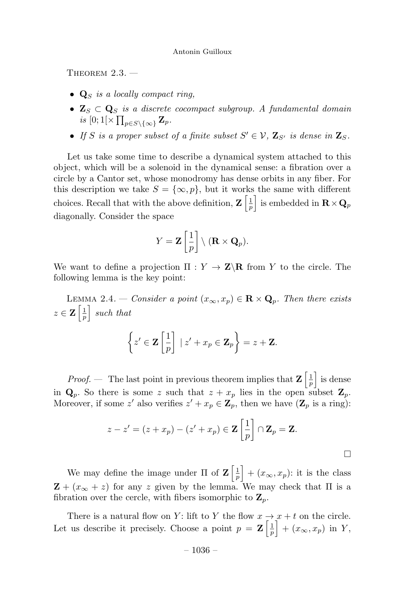THEOREM  $2.3.$   $-$ 

- $\mathbf{Q}_S$  is a locally compact ring,
- $\mathbf{Z}_S \subset \mathbf{Q}_S$  is a discrete cocompact subgroup. A fundamental domain is  $[0;1[\times \prod_{p\in S\setminus\{\infty\}} \mathbf{Z}_p]$ .
- If S is a proper subset of a finite subset  $S' \in \mathcal{V}$ ,  $\mathbf{Z}_{S'}$  is dense in  $\mathbf{Z}_S$ .

Let us take some time to describe a dynamical system attached to this object, which will be a solenoid in the dynamical sense: a fibration over a circle by a Cantor set, whose monodromy has dense orbits in any fiber.For this description we take  $S = \{\infty, p\}$ , but it works the same with different choices. Recall that with the above definition,  $\mathbf{Z} \left[ \frac{1}{p} \right]$ is embedded in  $\mathbf{R} \times \mathbf{Q}_p$ diagonally.Consider the space

$$
Y = \mathbf{Z} \left[ \frac{1}{p} \right] \setminus (\mathbf{R} \times \mathbf{Q}_p).
$$

We want to define a projection  $\Pi : Y \to \mathbf{Z} \backslash \mathbf{R}$  from Y to the circle. The following lemma is the key point:

LEMMA 2.4. — Consider a point  $(x_{\infty}, x_p) \in \mathbf{R} \times \mathbf{Q}_p$ . Then there exists  $z \in \mathbf{Z} \left[ \frac{1}{p} \right]$  such that  $\sqrt{ }$  $z' \in \mathbf{Z}$  $\lceil 1 \rceil$ 1  $| z' + x_p \in \mathbf{Z}_p$  $\mathcal{L}$  $=z + \mathbf{Z}$ .

p

*Proof.* – The last point in previous theorem implies that  $\mathbf{Z} \left[ \frac{1}{p} \right]$  is dense in  $\mathbf{Q}_p$ . So there is some z such that  $z + x_p$  lies in the open subset  $\mathbf{Z}_p$ . Moreover, if some z' also verifies  $z' + x_p \in \mathbb{Z}_p$ , then we have  $(\mathbb{Z}_p$  is a ring):

$$
z - z' = (z + x_p) - (z' + x_p) \in \mathbf{Z} \left[ \frac{1}{p} \right] \cap \mathbf{Z}_p = \mathbf{Z}.
$$

 $\Box$ 

We may define the image under  $\Pi$  of  $\mathbf{Z} \left[ \frac{1}{p} \right]$  $+ (x_{\infty}, x_p)$ : it is the class  $\mathbf{Z} + (x_{\infty} + z)$  for any z given by the lemma. We may check that  $\Pi$  is a fibration over the cercle, with fibers isomorphic to  $\mathbf{Z}_p$ .

There is a natural flow on Y: lift to Y the flow  $x \rightarrow x + t$  on the circle. Let us describe it precisely. Choose a point  $p = \mathbf{Z} \left[ \frac{1}{p} \right]$  $+ (x_{\infty}, x_p)$  in Y,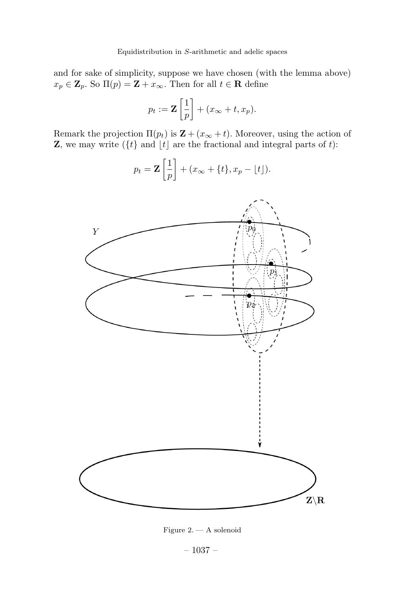and for sake of simplicity, suppose we have chosen (with the lemma above)  $x_p \in \mathbf{Z}_p$ . So  $\Pi(p) = \mathbf{Z} + x_{\infty}$ . Then for all  $t \in \mathbf{R}$  define

$$
p_t := \mathbf{Z} \left[ \frac{1}{p} \right] + (x_{\infty} + t, x_p).
$$

Remark the projection  $\Pi(p_t)$  is  $\mathbf{Z} + (x_\infty + t)$ . Moreover, using the action of **Z**, we may write  $({t}$  and  $[t]$  are the fractional and integral parts of t):

$$
p_t = \mathbf{Z} \left[ \frac{1}{p} \right] + (x_{\infty} + \{t\}, x_p - \lfloor t \rfloor).
$$



Figure 2. - A solenoid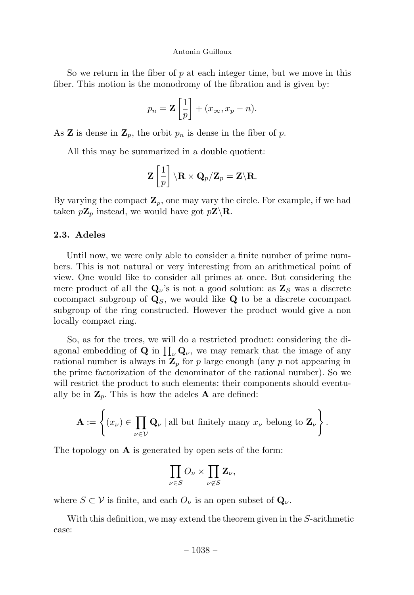So we return in the fiber of  $p$  at each integer time, but we move in this fiber. This motion is the monodromy of the fibration and is given by:

$$
p_n = \mathbf{Z} \left[ \frac{1}{p} \right] + (x_{\infty}, x_p - n).
$$

As **Z** is dense in  $\mathbf{Z}_p$ , the orbit  $p_n$  is dense in the fiber of p.

All this may be summarized in a double quotient:

$$
\mathbf{Z}\left[\frac{1}{p}\right]\backslash\mathbf{R}\times\mathbf{Q}_p/\mathbf{Z}_p=\mathbf{Z}\backslash\mathbf{R}.
$$

By varying the compact  $\mathbf{Z}_p$ , one may vary the circle. For example, if we had taken  $p\mathbf{Z}_p$  instead, we would have got  $p\mathbf{Z}\backslash\mathbf{R}$ .

# 2.3. Adeles

Until now, we were only able to consider a finite number of prime numbers.This is not natural or very interesting from an arithmetical point of view.One would like to consider all primes at once.But considering the mere product of all the  $\mathbf{Q}_{\nu}$ 's is not a good solution: as  $\mathbf{Z}_{S}$  was a discrete cocompact subgroup of  $\mathbf{Q}_S$ , we would like  $\mathbf{Q}$  to be a discrete cocompact subgroup of the ring constructed. However the product would give a non locally compact ring.

So, as for the trees, we will do a restricted product: considering the diagonal embedding of **Q** in  $\prod_{\nu} \mathbf{Q}_{\nu}$ , we may remark that the image of any rational number is always in  $\mathbb{Z}_p$  for p large enough (any p not appearing in the prime factorization of the denominator of the rational number). So we will restrict the product to such elements: their components should eventually be in  $\mathbf{Z}_p$ . This is how the adeles **A** are defined:

$$
\mathbf{A} := \left\{ (x_{\nu}) \in \prod_{\nu \in \mathcal{V}} \mathbf{Q}_{\nu} \mid \text{all but finitely many } x_{\nu} \text{ belong to } \mathbf{Z}_{\nu} \right\}.
$$

The topology on  $\bf{A}$  is generated by open sets of the form:

$$
\prod_{\nu \in S} O_{\nu} \times \prod_{\nu \notin S} \mathbf{Z}_{\nu},
$$

where  $S \subset V$  is finite, and each  $O_{\nu}$  is an open subset of  $\mathbf{Q}_{\nu}$ .

With this definition, we may extend the theorem given in the S-arithmetic case: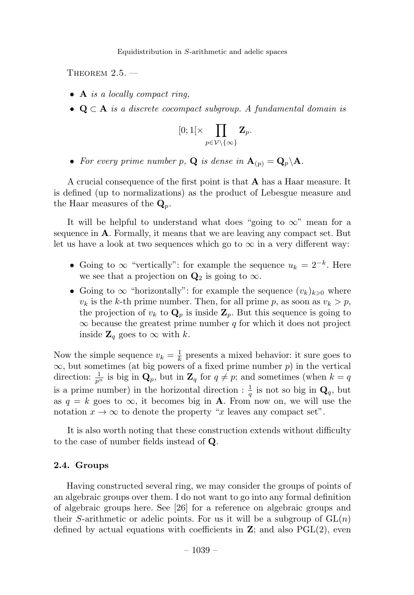THEOREM  $2.5.$   $-$ 

- A is a locally compact ring,
- $Q \subset A$  is a discrete cocompact subgroup. A fundamental domain is

$$
[0;1[\times \prod_{p\in \mathcal{V}\backslash \{\infty \}} \mathbf{Z}_p.
$$

• For every prime number p, **Q** is dense in  $\mathbf{A}_{(p)} = \mathbf{Q}_p \backslash \mathbf{A}$ .

A crucial consequence of the first point is that A has a Haar measure.It is defined (up to normalizations) as the product of Lebesgue measure and the Haar measures of the  $\mathbf{Q}_p$ .

It will be helpful to understand what does "going to  $\infty$ " mean for a sequence in  $A$ . Formally, it means that we are leaving any compact set. But let us have a look at two sequences which go to  $\infty$  in a very different way:

- Going to  $\infty$  "vertically": for example the sequence  $u_k = 2^{-k}$ . Here we see that a projection on  $\mathbf{Q}_2$  is going to  $\infty$ .
- Going to  $\infty$  "horizontally": for example the sequence  $(v_k)_{k\geq 0}$  where  $v_k$  is the k-th prime number. Then, for all prime p, as soon as  $v_k > p$ , the projection of  $v_k$  to  $\mathbf{Q}_p$  is inside  $\mathbf{Z}_p$ . But this sequence is going to  $\infty$  because the greatest prime number q for which it does not project inside  $\mathbf{Z}_q$  goes to  $\infty$  with k.

Now the simple sequence  $v_k = \frac{1}{k}$  presents a mixed behavior: it sure goes to  $\infty$ , but sometimes (at big powers of a fixed prime number p) in the vertical direction:  $\frac{1}{p^n}$  is big in  $\mathbf{Q}_p$ , but in  $\mathbf{Z}_q$  for  $q \neq p$ ; and sometimes (when  $k = q$ is a prime number) in the horizontal direction :  $\frac{1}{q}$  is not so big in  $\mathbf{Q}_q$ , but as  $q = k$  goes to  $\infty$ , it becomes big in **A**. From now on, we will use the notation  $x \to \infty$  to denote the property "x leaves any compact set".

It is also worth noting that these construction extends without difficulty to the case of number fields instead of Q.

### 2.4. Groups

Having constructed several ring, we may consider the groups of points of an algebraic groups over them.I do not want to go into any formal definition of algebraic groups here.See [26] for a reference on algebraic groups and their S-arithmetic or adelic points. For us it will be a subgroup of  $GL(n)$ defined by actual equations with coefficients in  $\mathbf{Z}$ ; and also  $PGL(2)$ , even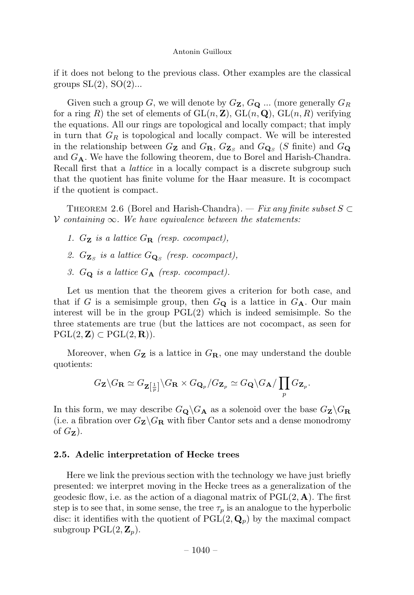if it does not belong to the previous class.Other examples are the classical groups  $SL(2)$ ,  $SO(2)$ ...

Given such a group G, we will denote by  $G_{\mathbf{Z}}$ ,  $G_{\mathbf{Q}}$  ... (more generally  $G_R$ for a ring R) the set of elements of  $GL(n, \mathbb{Z})$ ,  $GL(n, \mathbb{Q})$ ,  $GL(n, R)$  verifying the equations.All our rings are topological and locally compact; that imply in turn that  $G_R$  is topological and locally compact. We will be interested in the relationship between  $G_{\mathbf{Z}}$  and  $G_{\mathbf{R}}$ ,  $G_{\mathbf{Z}_{S}}$  and  $G_{\mathbf{Q}_{S}}$  (S finite) and  $G_{\mathbf{Q}}$ and  $G_{\bf A}$ . We have the following theorem, due to Borel and Harish-Chandra. Recall first that a *lattice* in a locally compact is a discrete subgroup such that the quotient has finite volume for the Haar measure.It is cocompact if the quotient is compact.

THEOREM 2.6 (Borel and Harish-Chandra). — Fix any finite subset  $S \subset$  $V$  containing  $\infty$ . We have equivalence between the statements:

- 1.  $G_{\mathbf{Z}}$  is a lattice  $G_{\mathbf{R}}$  (resp. cocompact),
- 2.  $G_{\mathbf{Z}_S}$  is a lattice  $G_{\mathbf{Q}_S}$  (resp. cocompact),
- 3.  $G_Q$  is a lattice  $G_A$  (resp. cocompact).

Let us mention that the theorem gives a criterion for both case, and that if G is a semisimple group, then  $G_{\mathbf{Q}}$  is a lattice in  $G_{\mathbf{A}}$ . Our main interest will be in the group  $PGL(2)$  which is indeed semisimple. So the three statements are true (but the lattices are not cocompact, as seen for  $\mathrm{PGL}(2,\mathbf{Z})\subset \mathrm{PGL}(2,\mathbf{R}).$ 

Moreover, when  $G_{\mathbf{Z}}$  is a lattice in  $G_{\mathbf{R}}$ , one may understand the double quotients:

$$
G_{\mathbf{Z}}\backslash G_{\mathbf{R}}\simeq G_{\mathbf{Z}\left[\frac{1}{p}\right]}\backslash G_{\mathbf{R}}\times G_{\mathbf{Q}_p}/G_{\mathbf{Z}_p}\simeq G_{\mathbf{Q}}\backslash G_{\mathbf{A}}/\prod_p G_{\mathbf{Z}_p}.
$$

In this form, we may describe  $G_{\mathbf{Q}}\backslash G_{\mathbf{A}}$  as a solenoid over the base  $G_{\mathbf{Z}}\backslash G_{\mathbf{R}}$ (i.e. a fibration over  $G_{\mathbf{Z}}\backslash G_{\mathbf{R}}$  with fiber Cantor sets and a dense monodromy of  $G_{\mathbf{Z}}$ ).

#### 2.5. Adelic interpretation of Hecke trees

Here we link the previous section with the technology we have just briefly presented: we interpret moving in the Hecke trees as a generalization of the geodesic flow, i.e. as the action of a diagonal matrix of  $PGL(2, A)$ . The first step is to see that, in some sense, the tree  $\tau_p$  is an analogue to the hyperbolic disc: it identifies with the quotient of  $PGL(2, \mathbf{Q}_p)$  by the maximal compact subgroup  $PGL(2, \mathbb{Z}_p)$ .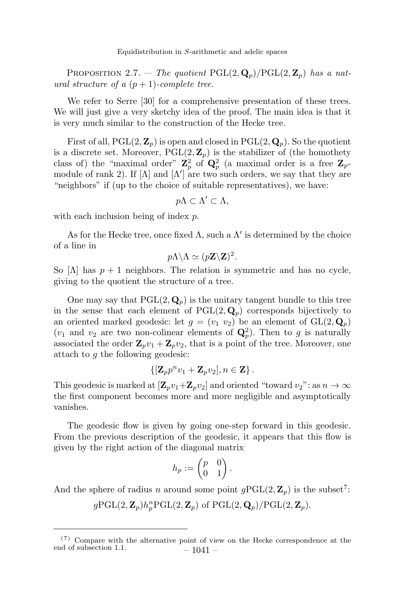PROPOSITION 2.7. — The quotient  $PGL(2, \mathbf{Q}_p)/PGL(2, \mathbf{Z}_p)$  has a natural structure of a  $(p+1)$ -complete tree.

We refer to Serre [30] for a comprehensive presentation of these trees. We will just give a very sketchy idea of the proof. The main idea is that it is very much similar to the construction of the Hecke tree.

First of all,  $PGL(2, \mathbb{Z}_n)$  is open and closed in  $PGL(2, \mathbb{Q}_n)$ . So the quotient is a discrete set. Moreover,  $PGL(2, \mathbb{Z}_p)$  is the stabilizer of (the homothety class of) the "maximal order"  $\mathbf{Z}_p^2$  of  $\mathbf{Q}_p^2$  (a maximal order is a free  $\mathbf{Z}_p$ module of rank 2). If  $[\Lambda]$  and  $[\Lambda']$  are two such orders, we say that they are "neighbors" if (up to the choice of suitable representatives), we have:

$$
p\Lambda\subset\Lambda'\subset\Lambda,
$$

with each inclusion being of index p.

As for the Hecke tree, once fixed  $\Lambda$ , such a  $\Lambda'$  is determined by the choice of a line in

$$
p\Lambda\backslash\Lambda\simeq (p\mathbf{Z}\backslash\mathbf{Z})^2.
$$

So  $[\Lambda]$  has  $p + 1$  neighbors. The relation is symmetric and has no cycle, giving to the quotient the structure of a tree.

One may say that  $PGL(2, \mathbf{Q}_p)$  is the unitary tangent bundle to this tree in the sense that each element of  $PGL(2, \mathbf{Q}_p)$  corresponds bijectively to an oriented marked geodesic: let  $g = (v_1, v_2)$  be an element of  $GL(2, \mathbf{Q}_p)$  $(v_1$  and  $v_2$  are two non-colinear elements of  $\mathbf{Q}_p^2$ ). Then to g is naturally associated the order  $\mathbf{Z}_p v_1 + \mathbf{Z}_p v_2$ , that is a point of the tree. Moreover, one attach to g the following geodesic:

$$
\{[\mathbf{Z}_p p^n v_1 + \mathbf{Z}_p v_2], n \in \mathbf{Z}\}\,.
$$

This geodesic is marked at  $[\mathbf{Z}_p v_1+\mathbf{Z}_p v_2]$  and oriented "toward  $v_2$ ": as  $n \to \infty$ the first component becomes more and more negligible and asymptotically vanishes.

The geodesic flow is given by going one-step forward in this geodesic. From the previous description of the geodesic, it appears that this flow is given by the right action of the diagonal matrix

$$
h_p := \begin{pmatrix} p & 0 \\ 0 & 1 \end{pmatrix}.
$$

And the sphere of radius n around some point  $g\mathrm{PGL}(2, \mathbb{Z}_p)$  is the subset<sup>7</sup>:

 $g\mathrm{PGL}(2,\mathbf{Z}_p)h_p^n\mathrm{PGL}(2,\mathbf{Z}_p)$  of  $\mathrm{PGL}(2,\mathbf{Q}_p)/\mathrm{PGL}(2,\mathbf{Z}_p).$ 

<sup>(7)</sup> Compare with the alternative point of view on the Hecke correspondence at the end of subsection 1.1.  $-1041 -$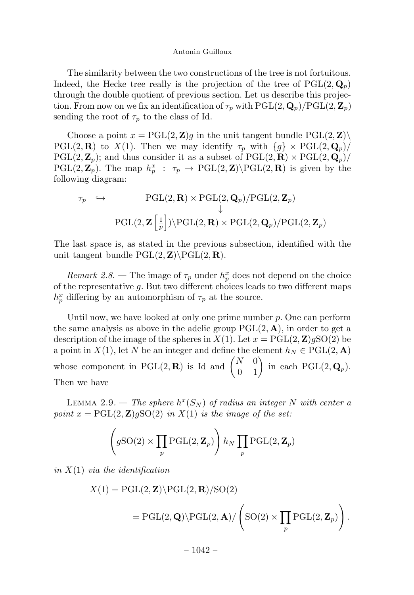The similarity between the two constructions of the tree is not fortuitous. Indeed, the Hecke tree really is the projection of the tree of  $PGL(2, \mathbf{Q}_p)$ through the double quotient of previous section.Let us describe this projection. From now on we fix an identification of  $\tau_p$  with PGL(2,  $\mathbf{Q}_p$ )/PGL(2,  $\mathbf{Z}_p$ ) sending the root of  $\tau_p$  to the class of Id.

Choose a point  $x = PGL(2, Z)g$  in the unit tangent bundle  $PGL(2, Z)\setminus$ PGL(2, **R**) to X(1). Then we may identify  $\tau_p$  with  $\{g\} \times \text{PGL}(2, \mathbf{Q}_p)$  $PGL(2, \mathbb{Z}_p)$ ; and thus consider it as a subset of  $PGL(2, \mathbb{R}) \times PGL(2, \mathbb{Q}_p)$ /  $PGL(2, \mathbb{Z}_p)$ . The map  $h_p^x$ :  $\tau_p \to \text{PGL}(2, \mathbb{Z})\backslash \text{PGL}(2, \mathbb{R})$  is given by the following diagram:

$$
\tau_p \leftrightarrow \text{PGL}(2, \mathbf{R}) \times \text{PGL}(2, \mathbf{Q}_p)/\text{PGL}(2, \mathbf{Z}_p)
$$
  
\n
$$
\downarrow
$$
  
\n
$$
\text{PGL}(2, \mathbf{Z} \left[ \frac{1}{p} \right]) \setminus \text{PGL}(2, \mathbf{R}) \times \text{PGL}(2, \mathbf{Q}_p)/\text{PGL}(2, \mathbf{Z}_p)
$$

The last space is, as stated in the previous subsection, identified with the unit tangent bundle  $PGL(2, Z)\PGL(2, R)$ .

Remark 2.8. – The image of  $\tau_p$  under  $h_p^x$  does not depend on the choice of the representative  $g$ . But two different choices leads to two different maps  $h_p^x$  differing by an automorphism of  $\tau_p$  at the source.

Until now, we have looked at only one prime number  $p$ . One can perform the same analysis as above in the adelic group  $PGL(2, A)$ , in order to get a description of the image of the spheres in  $X(1)$ . Let  $x = \text{PGL}(2, \mathbb{Z})g\text{SO}(2)$  be a point in  $X(1)$ , let N be an integer and define the element  $h_N \in \text{PGL}(2, \mathbf{A})$ whose component in PGL(2, **R**) is Id and  $\begin{pmatrix} N & 0 \\ 0 & 1 \end{pmatrix}$  in each PGL(2, **Q**<sub>p</sub>). Then we have

LEMMA 2.9. — The sphere  $h^x(S_N)$  of radius an integer N with center a point  $x = PGL(2, Z)gSO(2)$  in  $X(1)$  is the image of the set:

$$
\left(g\mathrm{SO}(2)\times\prod_p\mathrm{PGL}(2,\mathbf{Z}_p)\right)h_N\prod_p\mathrm{PGL}(2,\mathbf{Z}_p)
$$

in  $X(1)$  via the identification

$$
X(1) = PGL(2, \mathbf{Z}) \backslash PGL(2, \mathbf{R}) / SO(2)
$$
  
= PGL(2, \mathbf{Q}) \backslash PGL(2, \mathbf{A}) / \left( SO(2) \times \prod\_p PGL(2, \mathbf{Z}\_p) \right).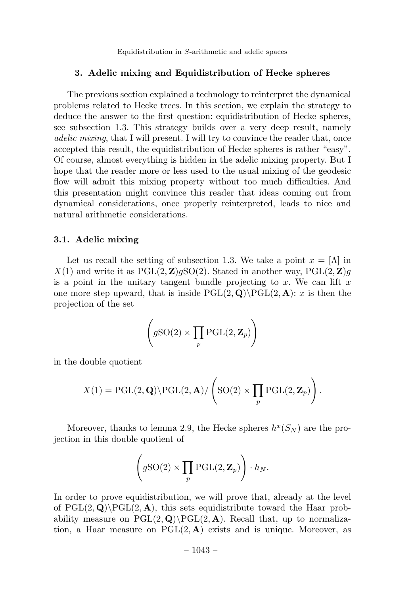#### 3. Adelic mixing and Equidistribution of Hecke spheres

The previous section explained a technology to reinterpret the dynamical problems related to Hecke trees.In this section, we explain the strategy to deduce the answer to the first question: equidistribution of Hecke spheres, see subsection 1.3. This strategy builds over a very deep result, namely adelic mixing, that I will present.I will try to convince the reader that, once accepted this result, the equidistribution of Hecke spheres is rather "easy". Of course, almost everything is hidden in the adelic mixing property.But I hope that the reader more or less used to the usual mixing of the geodesic flow will admit this mixing property without too much difficulties.And this presentation might convince this reader that ideas coming out from dynamical considerations, once properly reinterpreted, leads to nice and natural arithmetic considerations.

#### 3.1. Adelic mixing

Let us recall the setting of subsection 1.3. We take a point  $x = \Lambda$  in  $X(1)$  and write it as  $PGL(2, \mathbb{Z})gSO(2)$ . Stated in another way,  $PGL(2, \mathbb{Z})g$ is a point in the unitary tangent bundle projecting to x. We can lift  $x$ one more step upward, that is inside  $PGL(2, \mathbf{Q})\$  $PGL(2, \mathbf{A})$ : x is then the projection of the set

$$
\left(g\mathrm{SO}(2)\times\prod_p\mathrm{PGL}(2,\mathbf{Z}_p)\right)
$$

in the double quotient

$$
X(1) = \mathrm{PGL}(2, \mathbf{Q}) \backslash \mathrm{PGL}(2, \mathbf{A}) / \left( \mathrm{SO}(2) \times \prod_p \mathrm{PGL}(2, \mathbf{Z}_p) \right).
$$

Moreover, thanks to lemma 2.9, the Hecke spheres  $h^x(S_N)$  are the projection in this double quotient of

$$
\left(g\mathrm{SO}(2)\times\prod_p\mathrm{PGL}(2,\mathbf{Z}_p)\right)\cdot h_N.
$$

In order to prove equidistribution, we will prove that, already at the level of  $PGL(2, \mathbf{Q})\$  $PGL(2, \mathbf{A})$ , this sets equidistribute toward the Haar probability measure on  $PGL(2, \mathbf{Q})\$ PGL $(2, \mathbf{A})$ . Recall that, up to normalization, a Haar measure on  $PGL(2, A)$  exists and is unique. Moreover, as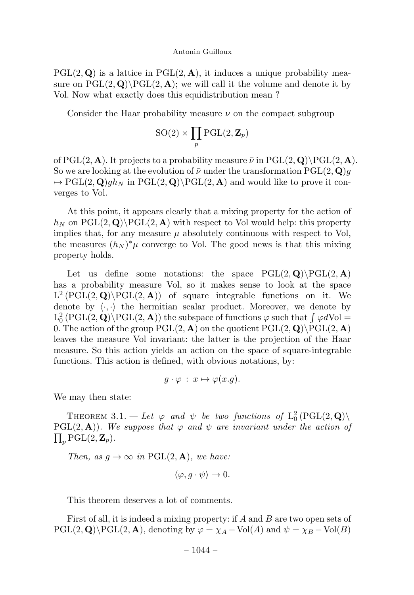$PGL(2, \mathbf{Q})$  is a lattice in  $PGL(2, \mathbf{A})$ , it induces a unique probability measure on  $PGL(2, \mathbf{Q})\$  $PGL(2, \mathbf{A})$ ; we will call it the volume and denote it by Vol. Now what exactly does this equidistribution mean?

Consider the Haar probability measure  $\nu$  on the compact subgroup

$$
\mathrm{SO}(2)\times \prod_p \mathrm{PGL}(2,\mathbf{Z}_p)
$$

of PGL(2, A). It projects to a probability measure  $\bar{\nu}$  in PGL(2, Q)\PGL(2, A). So we are looking at the evolution of  $\bar{\nu}$  under the transformation PGL(2, Q)q  $\mapsto$  PGL(2, Q)gh<sub>N</sub> in PGL(2, Q)\PGL(2, A) and would like to prove it converges to Vol.

At this point, it appears clearly that a mixing property for the action of  $h_N$  on PGL(2, Q)\PGL(2, A) with respect to Vol would help: this property implies that, for any measure  $\mu$  absolutely continuous with respect to Vol, the measures  $(h_N)^*\mu$  converge to Vol. The good news is that this mixing property holds.

Let us define some notations: the space  $PGL(2, \mathbf{Q})\backslash PGL(2, \mathbf{A})$ has a probability measure Vol, so it makes sense to look at the space  $L^2(PGL(2, \mathbf{Q})\backslash PGL(2, \mathbf{A}))$  of square integrable functions on it. We denote by  $\langle \cdot, \cdot \rangle$  the hermitian scalar product. Moreover, we denote by  $L_0^2$  (PGL(2, Q)\PGL(2, A)) the subspace of functions  $\varphi$  such that  $\int \varphi dVol =$ 0. The action of the group  $PGL(2, A)$  on the quotient  $PGL(2, Q)\$  $PGL(2, A)$ leaves the measure Vol invariant: the latter is the projection of the Haar measure.So this action yields an action on the space of square-integrable functions.This action is defined, with obvious notations, by:

$$
g \cdot \varphi \,:\, x \mapsto \varphi(x.g).
$$

We may then state:

THEOREM 3.1. – Let  $\varphi$  and  $\psi$  be two functions of  $L_0^2(PGL(2,\mathbf{Q}))$  $PGL(2, A)$ ). We suppose that  $\varphi$  and  $\psi$  are invariant under the action of  $\Pi$ ,  $PGL(2, \mathbb{Z}_n)$ .  $\prod_p \text{PGL}(2, \mathbf{Z}_p).$ 

Then, as  $g \to \infty$  in PGL(2, **A**), we have:

$$
\langle \varphi, g \cdot \psi \rangle \to 0.
$$

This theorem deserves a lot of comments.

First of all, it is indeed a mixing property: if A and B are two open sets of  $PGL(2, \mathbf{Q})\backslash PGL(2, \mathbf{A})$ , denoting by  $\varphi = \chi_A - Vol(A)$  and  $\psi = \chi_B - Vol(B)$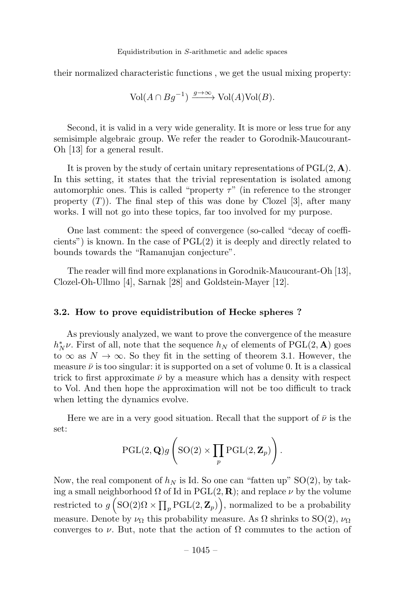their normalized characteristic functions , we get the usual mixing property:

$$
\text{Vol}(A \cap Bg^{-1}) \xrightarrow{g \to \infty} \text{Vol}(A)\text{Vol}(B).
$$

Second, it is valid in a very wide generality. It is more or less true for any semisimple algebraic group. We refer the reader to Gorodnik-Maucourant-Oh [13] for a general result.

It is proven by the study of certain unitary representations of  $PGL(2, A)$ . In this setting, it states that the trivial representation is isolated among automorphic ones. This is called "property  $\tau$ " (in reference to the stronger property  $(T)$ ). The final step of this was done by Clozel [3], after many works.I will not go into these topics, far too involved for my purpose.

One last comment: the speed of convergence (so-called "decay of coefficients") is known. In the case of  $PGL(2)$  it is deeply and directly related to bounds towards the "Ramanujan conjecture".

The reader will find more explanations in Gorodnik-Maucourant-Oh [13], Clozel-Oh-Ullmo [4], Sarnak [28] and Goldstein-Mayer [12].

# 3.2. How to prove equidistribution of Hecke spheres ?

As previously analyzed, we want to prove the convergence of the measure  $h_N^* \nu$ . First of all, note that the sequence  $h_N$  of elements of PGL(2, A) goes to  $\infty$  as  $N \to \infty$ . So they fit in the setting of theorem 3.1. However, the measure  $\bar{\nu}$  is too singular: it is supported on a set of volume 0. It is a classical trick to first approximate  $\bar{\nu}$  by a measure which has a density with respect to Vol.And then hope the approximation will not be too difficult to track when letting the dynamics evolve.

Here we are in a very good situation. Recall that the support of  $\bar{\nu}$  is the set:

$$
\operatorname{PGL}(2,\mathbf{Q})g\left(\operatorname{SO}(2)\times\prod_p\operatorname{PGL}(2,\mathbf{Z}_p)\right).
$$

Now, the real component of  $h_N$  is Id. So one can "fatten up" SO(2), by taking a small neighborhood  $\Omega$  of Id in PGL(2, R); and replace  $\nu$  by the volume restricted to  $g\left(\mathrm{SO}(2)\Omega \times \prod_p \mathrm{PGL}(2, \mathbf{Z}_p)\right)$ , normalized to be a probability measure. Denote by  $\nu_{\Omega}$  this probability measure. As  $\Omega$  shrinks to SO(2),  $\nu_{\Omega}$ converges to  $\nu$ . But, note that the action of  $\Omega$  commutes to the action of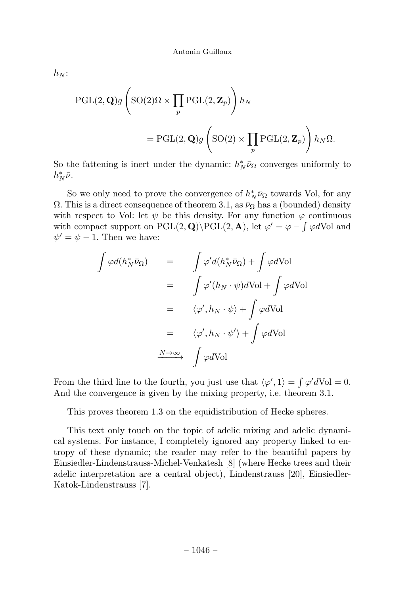$$
h_N:
$$

$$
\begin{aligned} \mathrm{PGL}(2,\mathbf{Q})g\left(\mathrm{SO}(2)\Omega\times\prod_{p}\mathrm{PGL}(2,\mathbf{Z}_{p})\right)h_{N} \\ =\mathrm{PGL}(2,\mathbf{Q})g\left(\mathrm{SO}(2)\times\prod_{p}\mathrm{PGL}(2,\mathbf{Z}_{p})\right)h_{N}\Omega. \end{aligned}
$$

So the fattening is inert under the dynamic:  $h_N^* \bar{\nu}_{\Omega}$  converges uniformly to  $h^*_N\bar{\nu}$ .

So we only need to prove the convergence of  $h_N^* \bar{\nu}_{\Omega}$  towards Vol, for any  $\Omega$ . This is a direct consequence of theorem 3.1, as  $\bar{\nu}_{\Omega}$  has a (bounded) density with respect to Vol: let  $\psi$  be this density. For any function  $\varphi$  continuous with compact support on  $PGL(2, \mathbf{Q})\PGL(2, \mathbf{A})$ , let  $\varphi' = \varphi - \int \varphi dVol$  and  $\psi' = \psi - 1$ . Then we have:

$$
\int \varphi d(h_N^* \bar{\nu}_{\Omega}) = \int \varphi' d(h_N^* \bar{\nu}_{\Omega}) + \int \varphi dVol
$$

$$
= \int \varphi'(h_N \cdot \psi) dVol + \int \varphi dVol
$$

$$
= \langle \varphi', h_N \cdot \psi \rangle + \int \varphi dVol
$$

$$
= \langle \varphi', h_N \cdot \psi' \rangle + \int \varphi dVol
$$

$$
\xrightarrow{N \to \infty} \int \varphi dVol
$$

From the third line to the fourth, you just use that  $\langle \varphi', 1 \rangle = \int \varphi' dVol = 0$ . And the convergence is given by the mixing property, i.e. theorem 3.1.

This proves theorem 1.3 on the equidistribution of Hecke spheres.

This text only touch on the topic of adelic mixing and adelic dynamical systems.For instance, I completely ignored any property linked to entropy of these dynamic; the reader may refer to the beautiful papers by Einsiedler-Lindenstrauss-Michel-Venkatesh [8] (where Hecke trees and their adelic interpretation are a central object), Lindenstrauss [20], Einsiedler-Katok-Lindenstrauss [7].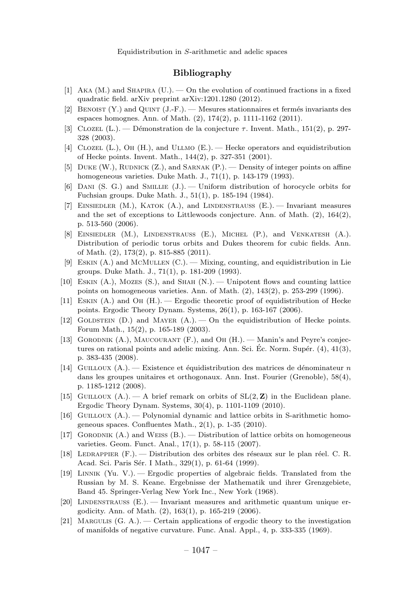# Bibliography

- [1] AKA (M.) and SHAPIRA (U.).  $-$  On the evolution of continued fractions in a fixed quadratic field. arXiv preprint arXiv:1201.1280 (2012).
- [2] BENOIST  $(Y)$  and QUINT  $(J-F)$ . Mesures stationnaires et fermés invariants des espaces homognes. Ann. of Math. (2), 174(2), p. 1111-1162 (2011).
- [3] CLOZEL (L.). Démonstration de la conjecture  $\tau$ . Invent. Math., 151(2), p. 297-328 (2003).
- [4] Clozel (L.), Oh (H.), and Ullmo (E.). —Hecke operators and equidistribution of Hecke points. Invent. Math., 144(2), p. 327-351 (2001).
- [5] DUKE (W.), RUDNICK  $(Z<sub>1</sub>)$ , and SARNAK  $(P<sub>1</sub>)$ .  $\sim$  Density of integer points on affine homogeneous varieties. Duke Math. J., 71(1), p. 143-179 (1993).
- [6] DANI (S. G.) and SMILLIE  $(J)$ . Uniform distribution of horocycle orbits for Fuchsian groups. Duke Math. J., 51(1), p. 185-194 (1984).
- [7] Einsiedler (M.), Katok (A.), and Lindenstrauss (E.). —Invariant measures and the set of exceptions to Littlewoods conjecture. Ann. of Math.  $(2)$ , 164 $(2)$ , p. 513-560 (2006).
- [8] Einsiedler (M.), Lindenstrauss (E.), Michel (P.), and Venkatesh (A.). Distribution of periodic torus orbits and Dukes theorem for cubic fields. Ann. of Math. (2), 173(2), p. 815-885 (2011).
- [9] ESKIN  $(A.)$  and MCMULLEN  $(C.)$ . Mixing, counting, and equidistribution in Lie groups. Duke Math. J., 71(1), p. 181-209 (1993).
- [10] ESKIN  $(A)$ , MOZES  $(S)$ , and SHAH  $(N)$ . Unipotent flows and counting lattice points on homogeneous varieties. Ann. of Math.  $(2)$ ,  $143(2)$ , p. 253-299 (1996).
- [11] Eskin (A.) and Oh (H.). —Ergodic theoretic proof of equidistribution of Hecke points. Ergodic Theory Dynam. Systems, 26(1), p. 163-167 (2006).
- [12] GOLDSTEIN  $(D.)$  and MAYER  $(A.)$ .  $\Box$  On the equidistribution of Hecke points. Forum Math., 15(2), p. 165-189 (2003).
- [13] GORODNIK  $(A.)$ , MAUCOURANT  $(F.)$ , and Oh  $(H.)$ . Manin's and Peyre's conjectures on rational points and adelic mixing. Ann. Sci. Ec. Norm. Supér.  $(4)$ ,  $41(3)$ , p. 383-435 (2008).
- [14] GUILLOUX (A.). Existence et équidistribution des matrices de dénominateur n dans les groupes unitaires et orthogonaux. Ann. Inst. Fourier (Grenoble), 58(4), p. 1185-1212 (2008).
- [15] GUILLOUX (A.). A brief remark on orbits of  $SL(2, \mathbb{Z})$  in the Euclidean plane. Ergodic Theory Dynam. Systems, 30(4), p. 1101-1109 (2010).
- [16] Guilloux (A.). —Polynomial dynamic and lattice orbits in S-arithmetic homogeneous spaces. Confluentes Math., 2(1), p. 1-35 (2010).
- [17] GORODNIK  $(A)$  and WEISS  $(B)$ . Distribution of lattice orbits on homogeneous varieties. Geom. Funct. Anal., 17(1), p. 58-115 (2007).
- [18] LEDRAPPIER  $(F.)$ . Distribution des orbites des réseaux sur le plan réel. C. R. Acad. Sci. Paris Sér. I Math., 329(1), p. 61-64 (1999).
- [19] Linnik (Yu. V.). —Ergodic properties of algebraic fields. Translated from the Russian by M. S. Keane. Ergebnisse der Mathematik und ihrer Grenzgebiete, Band 45. Springer-Verlag New York Inc., New York (1968).
- [20] LINDENSTRAUSS  $(E)$ . Invariant measures and arithmetic quantum unique ergodicity. Ann. of Math. (2), 163(1), p. 165-219 (2006).
- [21] Margulis (G. A.). —Certain applications of ergodic theory to the investigation of manifolds of negative curvature. Func. Anal. Appl., 4, p. 333-335 (1969).